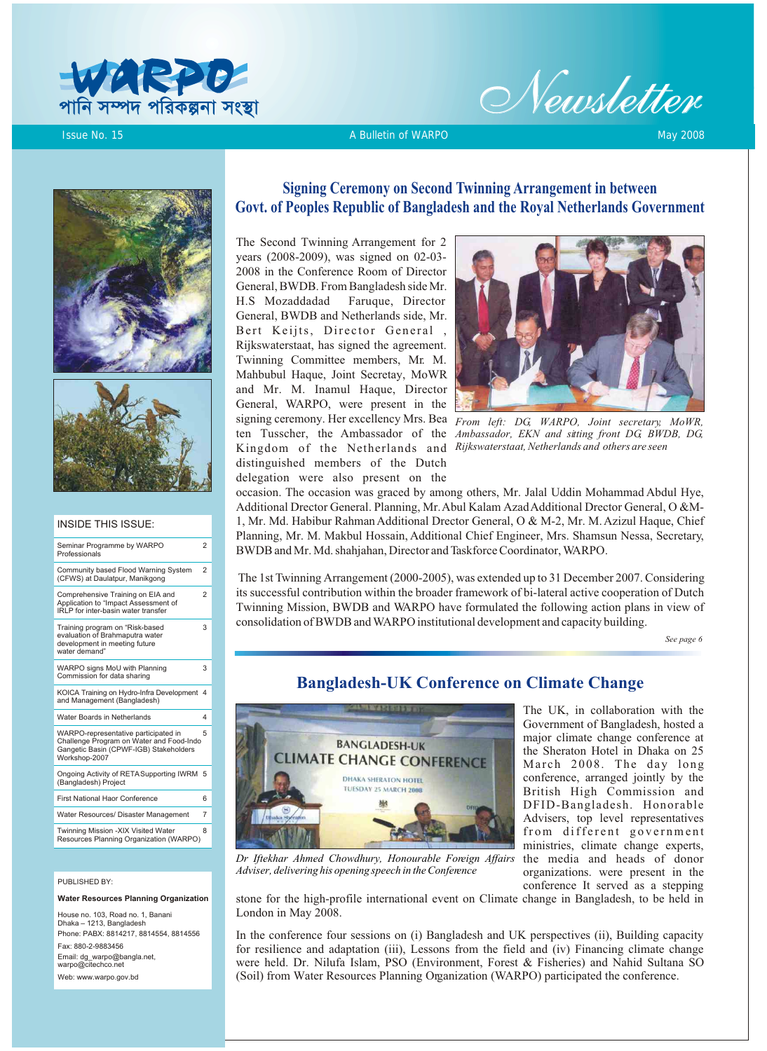



**Issue No. 15** A Bulletin of WARPO May 2008 May 2008 A Bulletin of WARPO May 2008 A Bulletin of WARPO May 2008





#### INSIDE THIS ISSUE:

| Seminar Programme by WARPO<br>Professionals                                                                                                 | $\overline{2}$ |
|---------------------------------------------------------------------------------------------------------------------------------------------|----------------|
| Community based Flood Warning System<br>(CFWS) at Daulatpur, Manikgong                                                                      | $\overline{2}$ |
| Comprehensive Training on EIA and<br>Application to "Impact Assessment of<br>IRLP for inter-basin water transfer                            | $\mathfrak{p}$ |
| Training program on "Risk-based<br>evaluation of Brahmaputra water<br>development in meeting future<br>water demand"                        | 3              |
| WARPO signs MoU with Planning<br>Commission for data sharing                                                                                | 3              |
| KOICA Training on Hydro-Infra Development<br>and Management (Bangladesh)                                                                    | 4              |
| Water Boards in Netherlands                                                                                                                 | 4              |
| WARPO-representative participated in<br>Challenge Program on Water and Food-Indo<br>Gangetic Basin (CPWF-IGB) Stakeholders<br>Workshop-2007 | 5              |
| Ongoing Activity of RETASupporting IWRM<br>(Bangladesh) Project                                                                             | 5              |
| <b>First National Haor Conference</b>                                                                                                       | հ              |
| Water Resources/ Disaster Management                                                                                                        | $\overline{7}$ |
| Twinning Mission -XIX Visited Water<br>Resources Planning Organization (WARPO)                                                              | 8              |

#### PUBLISHED BY:

**Water Resources Planning Organization**

House no. 103, Road no. 1, Banani Dhaka – 1213, Bangladesh Phone: PABX: 8814217, 8814554, 8814556 Fax: 880-2-9883456 Email: dg\_warpo@bangla.net, warpo@citechco.net Web: www.warpo.gov.bd

## **Signing Ceremony on Second Twinning Arrangement in between Govt. of Peoples Republic of Bangladesh and the Royal Netherlands Government**

The Second Twinning Arrangement for 2 years (2008-2009), was signed on 02-03- 2008 in the Conference Room of Director General, BWDB. From Bangladesh side Mr. H.S Mozaddadad Faruque, Director General, BWDB and Netherlands side, Mr. Bert Keijts, Director General , Rijkswaterstaat, has signed the agreement. Twinning Committee members, Mr. M. Mahbubul Haque, Joint Secretay, MoWR and Mr. M. Inamul Haque, Director General, WARPO, were present in the signing ceremony. Her excellency Mrs. Bea ten Tusscher, the Ambassador of the Kingdom of the Netherlands and *Rijkswaterstaat, Netherlands and others are seen* distinguished members of the Dutch delegation were also present on the



*From left: DG, WARPO, Joint secretary, MoWR, Ambassador, EKN and sitting front DG, BWDB, DG,* 

occasion. The occasion was graced by among others, Mr. Jalal Uddin Mohammad Abdul Hye, Additional Drector General. Planning, Mr. Abul Kalam Azad Additional Drector General, O &M-1, Mr. Md. Habibur Rahman Additional Drector General, O & M-2, Mr. M. Azizul Haque, Chief Planning, Mr. M. Makbul Hossain, Additional Chief Engineer, Mrs. Shamsun Nessa, Secretary, BWDB and Mr. Md. shahjahan, Director and Taskforce Coordinator, WARPO.

 The 1st Twinning Arrangement (2000-2005), was extended up to 31 December 2007. Considering its successful contribution within the broader framework of bi-lateral active cooperation of Dutch Twinning Mission, BWDB and WARPO have formulated the following action plans in view of consolidation of BWDB and WARPO institutional development and capacity building.

*See page 6*

## **Bangladesh-UK Conference on Climate Change**



*Dr Iftekhar Ahmed Chowdhury, Honourable Foreign Affairs Adviser, delivering his opening speech in the Conference*

The UK, in collaboration with the Government of Bangladesh, hosted a major climate change conference at the Sheraton Hotel in Dhaka on 25 March 2008. The day long conference, arranged jointly by the British High Commission and DFID-Bangladesh. Honorable Advisers, top level representatives from different government ministries, climate change experts, the media and heads of donor organizations. were present in the conference It served as a stepping

stone for the high-profile international event on Climate change in Bangladesh, to be held in London in May 2008.

In the conference four sessions on (i) Bangladesh and UK perspectives (ii), Building capacity for resilience and adaptation (iii), Lessons from the field and (iv) Financing climate change were held. Dr. Nilufa Islam, PSO (Environment, Forest & Fisheries) and Nahid Sultana SO (Soil) from Water Resources Planning Organization (WARPO) participated the conference.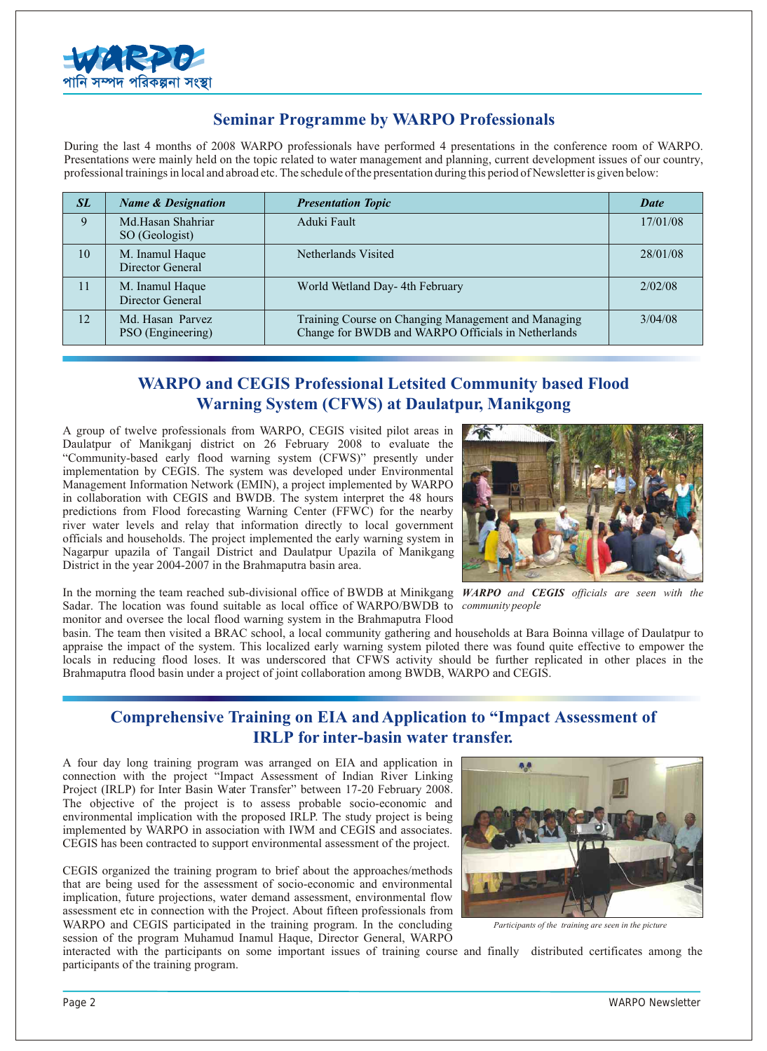

## **Seminar Programme by WARPO Professionals**

During the last 4 months of 2008 WARPO professionals have performed 4 presentations in the conference room of WARPO. Presentations were mainly held on the topic related to water management and planning, current development issues of our country, professional trainings in local and abroad etc. The schedule of the presentation during this period of Newsletter is given below:

| SL | <b>Name &amp; Designation</b>         | <b>Presentation Topic</b>                                                                                 | <b>Date</b> |
|----|---------------------------------------|-----------------------------------------------------------------------------------------------------------|-------------|
| 9  | Md.Hasan Shahriar<br>SO (Geologist)   | Aduki Fault                                                                                               | 17/01/08    |
| 10 | M. Inamul Haque<br>Director General   | Netherlands Visited                                                                                       | 28/01/08    |
| 11 | M. Inamul Haque<br>Director General   | World Wetland Day- 4th February                                                                           | 2/02/08     |
| 12 | Md. Hasan Parvez<br>PSO (Engineering) | Training Course on Changing Management and Managing<br>Change for BWDB and WARPO Officials in Netherlands | 3/04/08     |

# **WARPO and CEGIS Professional Letsited Community based Flood Warning System (CFWS) at Daulatpur, Manikgong**

A group of twelve professionals from WARPO, CEGIS visited pilot areas in Daulatpur of Manikganj district on 26 February 2008 to evaluate the "Community-based early flood warning system (CFWS)" presently under implementation by CEGIS. The system was developed under Environmental Management Information Network (EMIN), a project implemented by WARPO in collaboration with CEGIS and BWDB. The system interpret the 48 hours predictions from Flood forecasting Warning Center (FFWC) for the nearby river water levels and relay that information directly to local government officials and households. The project implemented the early warning system in Nagarpur upazila of Tangail District and Daulatpur Upazila of Manikgang District in the year 2004-2007 in the Brahmaputra basin area.



In the morning the team reached sub-divisional office of BWDB at Minikgang *WARPO and CEGIS officials are seen with the*  Sadar. The location was found suitable as local office of WARPO/BWDB to *community people* monitor and oversee the local flood warning system in the Brahmaputra Flood

basin. The team then visited a BRAC school, a local community gathering and households at Bara Boinna village of Daulatpur to appraise the impact of the system. This localized early warning system piloted there was found quite effective to empower the locals in reducing flood loses. It was underscored that CFWS activity should be further replicated in other places in the Brahmaputra flood basin under a project of joint collaboration among BWDB, WARPO and CEGIS.

# **Comprehensive Training on EIA and Application to "Impact Assessment of IRLP for inter-basin water transfer.**

A four day long training program was arranged on EIA and application in connection with the project "Impact Assessment of Indian River Linking Project (IRLP) for Inter Basin Water Transfer" between 17-20 February 2008. The objective of the project is to assess probable socio-economic and environmental implication with the proposed IRLP. The study project is being implemented by WARPO in association with IWM and CEGIS and associates. CEGIS has been contracted to support environmental assessment of the project.

CEGIS organized the training program to brief about the approaches/methods that are being used for the assessment of socio-economic and environmental implication, future projections, water demand assessment, environmental flow assessment etc in connection with the Project. About fifteen professionals from WARPO and CEGIS participated in the training program. In the concluding session of the program Muhamud Inamul Haque, Director General, WARPO



*Participants of the training are seen in the picture*

interacted with the participants on some important issues of training course and finally distributed certificates among the participants of the training program.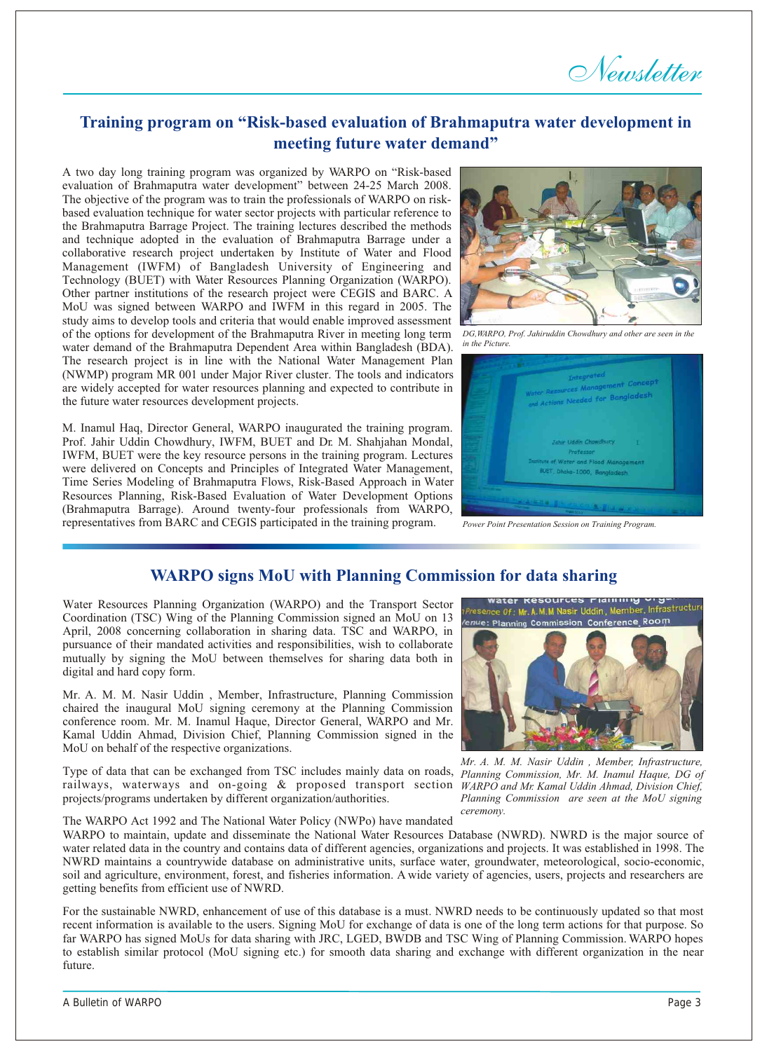*Newsletter*

# **Training program on "Risk-based evaluation of Brahmaputra water development in meeting future water demand"**

A two day long training program was organized by WARPO on "Risk-based evaluation of Brahmaputra water development" between 24-25 March 2008. The objective of the program was to train the professionals of WARPO on riskbased evaluation technique for water sector projects with particular reference to the Brahmaputra Barrage Project. The training lectures described the methods and technique adopted in the evaluation of Brahmaputra Barrage under a collaborative research project undertaken by Institute of Water and Flood Management (IWFM) of Bangladesh University of Engineering and Technology (BUET) with Water Resources Planning Organization (WARPO). Other partner institutions of the research project were CEGIS and BARC. A MoU was signed between WARPO and IWFM in this regard in 2005. The study aims to develop tools and criteria that would enable improved assessment of the options for development of the Brahmaputra River in meeting long term *DG,WARPO, Prof. Jahiruddin Chowdhury and other are seen in the*  water demand of the Brahmaputra Dependent Area within Bangladesh (BDA). The research project is in line with the National Water Management Plan (NWMP) program MR 001 under Major River cluster. The tools and indicators are widely accepted for water resources planning and expected to contribute in the future water resources development projects.

M. Inamul Haq, Director General, WARPO inaugurated the training program. Prof. Jahir Uddin Chowdhury, IWFM, BUET and Dr. M. Shahjahan Mondal, IWFM, BUET were the key resource persons in the training program. Lectures were delivered on Concepts and Principles of Integrated Water Management, Time Series Modeling of Brahmaputra Flows, Risk-Based Approach in Water Resources Planning, Risk-Based Evaluation of Water Development Options (Brahmaputra Barrage). Around twenty-four professionals from WARPO, representatives from BARC and CEGIS participated in the training program.



*in the Picture.*



*Power Point Presentation Session on Training Program.*

## **WARPO signs MoU with Planning Commission for data sharing**

Water Resources Planning Organization (WARPO) and the Transport Sector Coordination (TSC) Wing of the Planning Commission signed an MoU on 13 April, 2008 concerning collaboration in sharing data. TSC and WARPO, in pursuance of their mandated activities and responsibilities, wish to collaborate mutually by signing the MoU between themselves for sharing data both in digital and hard copy form.

Mr. A. M. M. Nasir Uddin , Member, Infrastructure, Planning Commission chaired the inaugural MoU signing ceremony at the Planning Commission conference room. Mr. M. Inamul Haque, Director General, WARPO and Mr. Kamal Uddin Ahmad, Division Chief, Planning Commission signed in the MoU on behalf of the respective organizations.

Type of data that can be exchanged from TSC includes mainly data on roads, *Planning Commission, Mr. M. Inamul Haque, DG of*  railways, waterways and on-going & proposed transport section projects/programs undertaken by different organization/authorities.

The WARPO Act 1992 and The National Water Policy (NWPo) have mandated



*Mr. A. M. M. Nasir Uddin , Member, Infrastructure, WARPO and Mr. Kamal Uddin Ahmad, Division Chief, Planning Commission are seen at the MoU signing ceremony.*

WARPO to maintain, update and disseminate the National Water Resources Database (NWRD). NWRD is the major source of water related data in the country and contains data of different agencies, organizations and projects. It was established in 1998. The NWRD maintains a countrywide database on administrative units, surface water, groundwater, meteorological, socio-economic, soil and agriculture, environment, forest, and fisheries information. A wide variety of agencies, users, projects and researchers are getting benefits from efficient use of NWRD.

For the sustainable NWRD, enhancement of use of this database is a must. NWRD needs to be continuously updated so that most recent information is available to the users. Signing MoU for exchange of data is one of the long term actions for that purpose. So far WARPO has signed MoUs for data sharing with JRC, LGED, BWDB and TSC Wing of Planning Commission. WARPO hopes to establish similar protocol (MoU signing etc.) for smooth data sharing and exchange with different organization in the near future.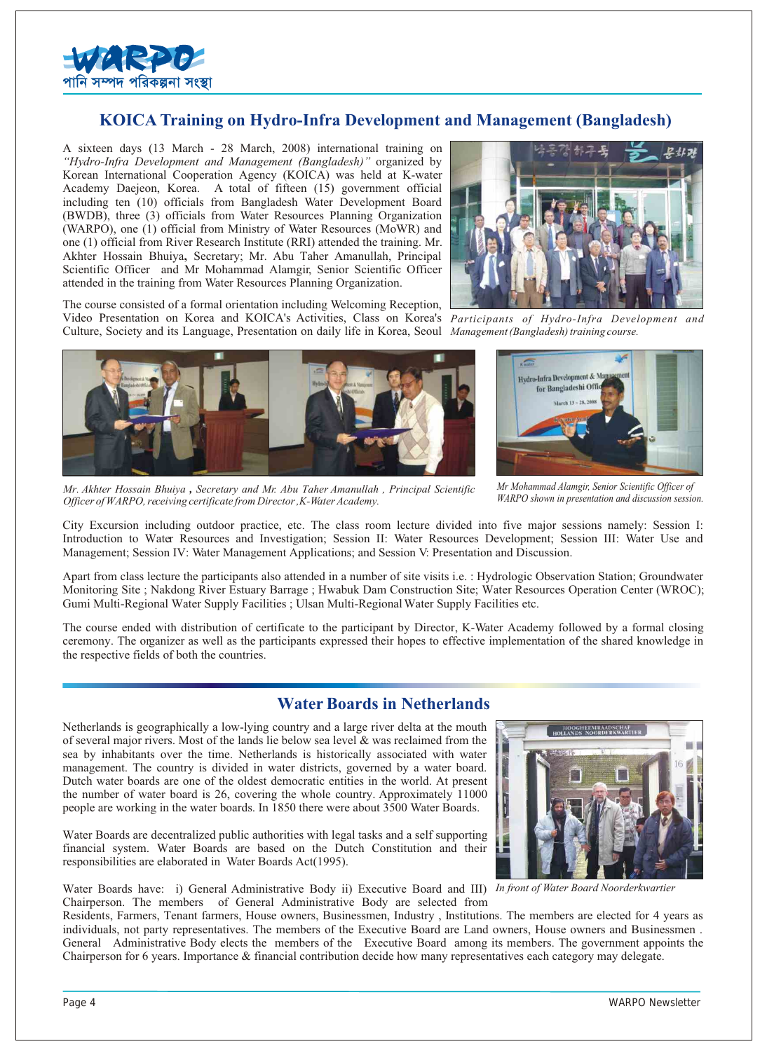

## **KOICA Training on Hydro-Infra Development and Management (Bangladesh)**

A sixteen days (13 March - 28 March, 2008) international training on *"Hydro-Infra Development and Management (Bangladesh)"* organized by Korean International Cooperation Agency (KOICA) was held at K-water Academy Daejeon, Korea. A total of fifteen (15) government official including ten (10) officials from Bangladesh Water Development Board (BWDB), three (3) officials from Water Resources Planning Organization (WARPO), one (1) official from Ministry of Water Resources (MoWR) and one (1) official from River Research Institute (RRI) attended the training. Mr. Akhter Hossain Bhuiya**,** Secretary; Mr. Abu Taher Amanullah, Principal Scientific Officer and Mr Mohammad Alamgir, Senior Scientific Officer attended in the training from Water Resources Planning Organization.

The course consisted of a formal orientation including Welcoming Reception, Video Presentation on Korea and KOICA's Activities, Class on Korea's *Participants of Hydro-Infra Development and*  Culture, Society and its Language, Presentation on daily life in Korea, Seoul *Management (Bangladesh) training course.* 



*Mr. Akhter Hossain Bhuiya , Secretary and Mr. Abu Taher Amanullah , Principal Scientific* 

*Officer of WARPO, receiving certificate from Director ,K-Water Academy.*





*Mr Mohammad Alamgir, Senior Scientific Officer of WARPO shown in presentation and discussion session.*

City Excursion including outdoor practice, etc. The class room lecture divided into five major sessions namely: Session I: Introduction to Water Resources and Investigation; Session II: Water Resources Development; Session III: Water Use and Management; Session IV: Water Management Applications; and Session V: Presentation and Discussion.

Apart from class lecture the participants also attended in a number of site visits i.e. : Hydrologic Observation Station; Groundwater Monitoring Site ; Nakdong River Estuary Barrage ; Hwabuk Dam Construction Site; Water Resources Operation Center (WROC); Gumi Multi-Regional Water Supply Facilities ; Ulsan Multi-Regional Water Supply Facilities etc.

The course ended with distribution of certificate to the participant by Director, K-Water Academy followed by a formal closing ceremony. The organizer as well as the participants expressed their hopes to effective implementation of the shared knowledge in the respective fields of both the countries.

## **Water Boards in Netherlands**

Netherlands is geographically a low-lying country and a large river delta at the mouth of several major rivers. Most of the lands lie below sea level  $\&$  was reclaimed from the sea by inhabitants over the time. Netherlands is historically associated with water management. The country is divided in water districts, governed by a water board. Dutch water boards are one of the oldest democratic entities in the world. At present the number of water board is 26, covering the whole country. Approximately 11000 people are working in the water boards. In 1850 there were about 3500 Water Boards.

Water Boards are decentralized public authorities with legal tasks and a self supporting financial system. Water Boards are based on the Dutch Constitution and their responsibilities are elaborated in Water Boards Act(1995).

Water Boards have: i) General Administrative Body ii) Executive Board and III) *In front of Water Board Noorderkwartier* Chairperson. The members of General Administrative Body are selected from

Residents, Farmers, Tenant farmers, House owners, Businessmen, Industry , Institutions. The members are elected for 4 years as individuals, not party representatives. The members of the Executive Board are Land owners, House owners and Businessmen . General Administrative Body elects the members of the Executive Board among its members. The government appoints the Chairperson for 6 years. Importance & financial contribution decide how many representatives each category may delegate.

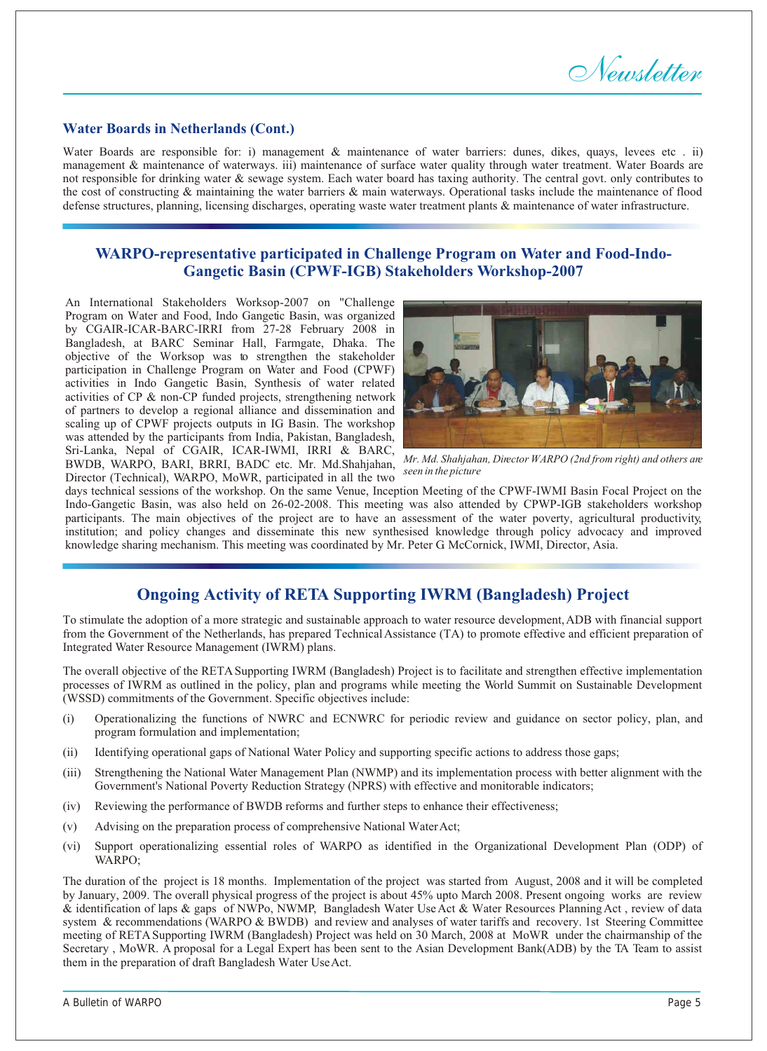*Newsletter*

#### **Water Boards in Netherlands (Cont.)**

Water Boards are responsible for: i) management & maintenance of water barriers: dunes, dikes, quays, levees etc . ii) management & maintenance of waterways. iii) maintenance of surface water quality through water treatment. Water Boards are not responsible for drinking water & sewage system. Each water board has taxing authority. The central govt. only contributes to the cost of constructing & maintaining the water barriers & main waterways. Operational tasks include the maintenance of flood defense structures, planning, licensing discharges, operating waste water treatment plants & maintenance of water infrastructure.

## **WARPO-representative participated in Challenge Program on Water and Food-Indo-Gangetic Basin (CPWF-IGB) Stakeholders Workshop-2007**

An International Stakeholders Worksop-2007 on "Challenge Program on Water and Food, Indo Gangetic Basin, was organized by CGAIR-ICAR-BARC-IRRI from 27-28 February 2008 in Bangladesh, at BARC Seminar Hall, Farmgate, Dhaka. The objective of the Worksop was to strengthen the stakeholder participation in Challenge Program on Water and Food (CPWF) activities in Indo Gangetic Basin, Synthesis of water related activities of CP & non-CP funded projects, strengthening network of partners to develop a regional alliance and dissemination and scaling up of CPWF projects outputs in IG Basin. The workshop was attended by the participants from India, Pakistan, Bangladesh, Sri-Lanka, Nepal of CGAIR, ICAR-IWMI, IRRI & BARC, BWDB, WARPO, BARI, BRRI, BADC etc. Mr. Md.Shahjahan, Director (Technical), WARPO, MoWR, participated in all the two



*Mr. Md. Shahjahan, Director WARPO (2nd from right) and others are seen in the picture*

days technical sessions of the workshop. On the same Venue, Inception Meeting of the CPWF-IWMI Basin Focal Project on the Indo-Gangetic Basin, was also held on 26-02-2008. This meeting was also attended by CPWP-IGB stakeholders workshop participants. The main objectives of the project are to have an assessment of the water poverty, agricultural productivity, institution; and policy changes and disseminate this new synthesised knowledge through policy advocacy and improved knowledge sharing mechanism. This meeting was coordinated by Mr. Peter G. McCornick, IWMI, Director, Asia.

## **Ongoing Activity of RETA Supporting IWRM (Bangladesh) Project**

To stimulate the adoption of a more strategic and sustainable approach to water resource development, ADB with financial support from the Government of the Netherlands, has prepared Technical Assistance (TA) to promote effective and efficient preparation of Integrated Water Resource Management (IWRM) plans.

The overall objective of the RETA Supporting IWRM (Bangladesh) Project is to facilitate and strengthen effective implementation processes of IWRM as outlined in the policy, plan and programs while meeting the World Summit on Sustainable Development (WSSD) commitments of the Government. Specific objectives include:

- (i) Operationalizing the functions of NWRC and ECNWRC for periodic review and guidance on sector policy, plan, and program formulation and implementation;
- (ii) Identifying operational gaps of National Water Policy and supporting specific actions to address those gaps;
- (iii) Strengthening the National Water Management Plan (NWMP) and its implementation process with better alignment with the Government's National Poverty Reduction Strategy (NPRS) with effective and monitorable indicators;
- (iv) Reviewing the performance of BWDB reforms and further steps to enhance their effectiveness;
- (v) Advising on the preparation process of comprehensive National Water Act;
- (vi) Support operationalizing essential roles of WARPO as identified in the Organizational Development Plan (ODP) of WARPO;

The duration of the project is 18 months. Implementation of the project was started from August, 2008 and it will be completed by January, 2009. The overall physical progress of the project is about 45% upto March 2008. Present ongoing works are review & identification of laps & gaps of NWPo, NWMP, Bangladesh Water Use Act & Water Resources Planning Act , review of data system & recommendations (WARPO & BWDB) and review and analyses of water tariffs and recovery. 1st Steering Committee meeting of RETA Supporting IWRM (Bangladesh) Project was held on 30 March, 2008 at MoWR under the chairmanship of the Secretary , MoWR. A proposal for a Legal Expert has been sent to the Asian Development Bank(ADB) by the TA Team to assist them in the preparation of draft Bangladesh Water Use Act.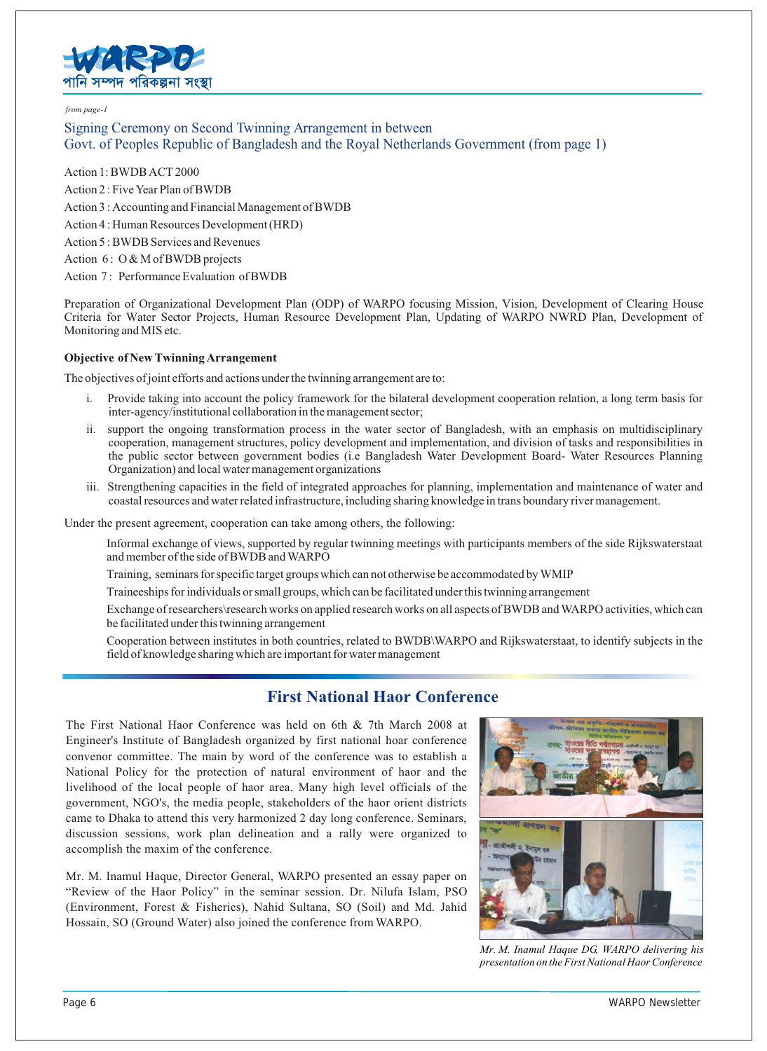

#### *from page-1*

Signing Ceremony on Second Twinning Arrangement in between Govt. of Peoples Republic of Bangladesh and the Royal Netherlands Government (from page 1)

Action 1: BWDB ACT 2000 Action 2 : Five Year Plan of BWDB Action 3 : Accounting and Financial Management of BWDB Action 4 : Human Resources Development (HRD) Action 5 : BWDB Services and Revenues Action 6: O & M of BWDB projects Action 7: Performance Evaluation of BWDB

Preparation of Organizational Development Plan (ODP) of WARPO focusing Mission, Vision, Development of Clearing House Criteria for Water Sector Projects, Human Resource Development Plan, Updating of WARPO NWRD Plan, Development of Monitoring and MIS etc.

#### **Objective of New Twinning Arrangement**

The objectives of joint efforts and actions under the twinning arrangement are to:

- i. Provide taking into account the policy framework for the bilateral development cooperation relation, a long term basis for inter-agency/institutional collaboration in the management sector;
- ii. support the ongoing transformation process in the water sector of Bangladesh, with an emphasis on multidisciplinary cooperation, management structures, policy development and implementation, and division of tasks and responsibilities in the public sector between government bodies (i.e Bangladesh Water Development Board- Water Resources Planning Organization) and local water management organizations
- iii. Strengthening capacities in the field of integrated approaches for planning, implementation and maintenance of water and coastal resources and water related infrastructure, including sharing knowledge in trans boundary river management.

Under the present agreement, cooperation can take among others, the following:

Informal exchange of views, supported by regular twinning meetings with participants members of the side Rijkswaterstaat and member of the side of BWDB and WARPO

Training, seminars for specific target groups which can not otherwise be accommodated by WMIP

Traineeships for individuals or small groups, which can be facilitated under this twinning arrangement

Exchange of researchers\research works on applied research works on all aspects of BWDB and WARPO activities, which can be facilitated under this twinning arrangement

Cooperation between institutes in both countries, related to BWDB\WARPO and Rijkswaterstaat, to identify subjects in the field of knowledge sharing which are important for water management

## **First National Haor Conference**

The First National Haor Conference was held on 6th & 7th March 2008 at Engineer's Institute of Bangladesh organized by first national hoar conference convenor committee. The main by word of the conference was to establish a National Policy for the protection of natural environment of haor and the livelihood of the local people of haor area. Many high level officials of the government, NGO's, the media people, stakeholders of the haor orient districts came to Dhaka to attend this very harmonized 2 day long conference. Seminars, discussion sessions, work plan delineation and a rally were organized to accomplish the maxim of the conference.

Mr. M. Inamul Haque, Director General, WARPO presented an essay paper on "Review of the Haor Policy" in the seminar session. Dr. Nilufa Islam, PSO (Environment, Forest & Fisheries), Nahid Sultana, SO (Soil) and Md. Jahid Hossain, SO (Ground Water) also joined the conference from WARPO.



*Mr. M. Inamul Haque DG, WARPO delivering his presentation on the First National Haor Conference*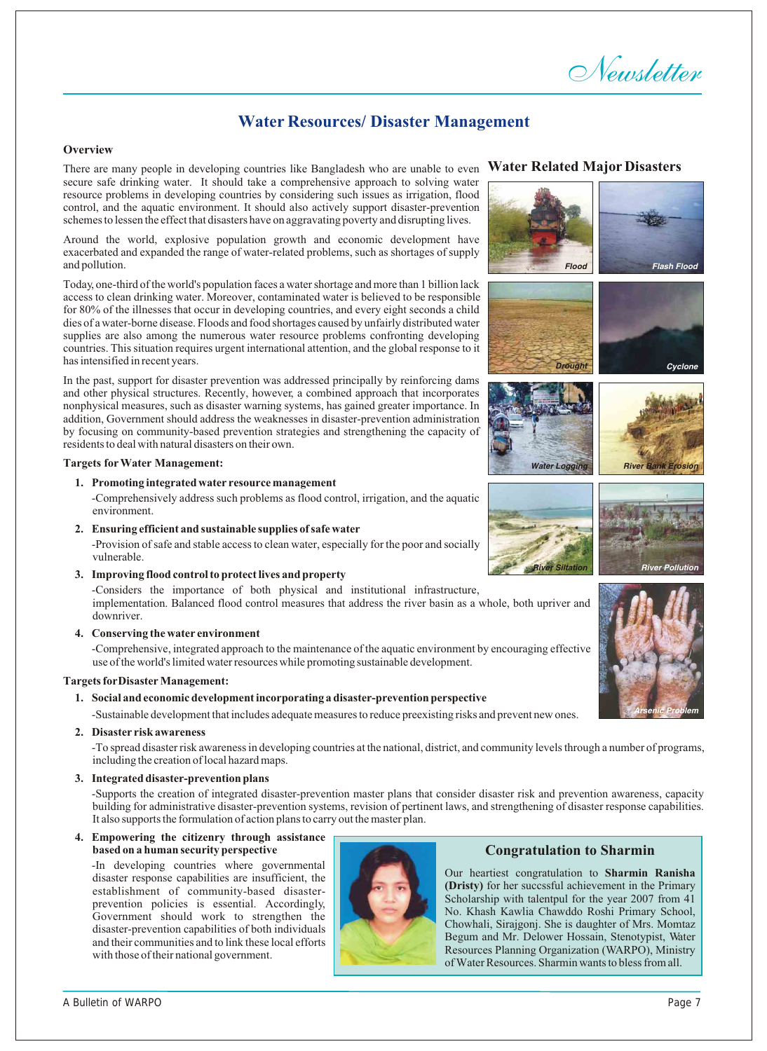# *Newsletter*

# **Water Resources/ Disaster Management**

#### **Overview**

There are many people in developing countries like Bangladesh who are unable to even secure safe drinking water. It should take a comprehensive approach to solving water resource problems in developing countries by considering such issues as irrigation, flood control, and the aquatic environment. It should also actively support disaster-prevention schemes to lessen the effect that disasters have on aggravating poverty and disrupting lives.

Around the world, explosive population growth and economic development have exacerbated and expanded the range of water-related problems, such as shortages of supply and pollution.

Today, one-third of the world's population faces a water shortage and more than 1 billion lack access to clean drinking water. Moreover, contaminated water is believed to be responsible for 80% of the illnesses that occur in developing countries, and every eight seconds a child dies of a water-borne disease. Floods and food shortages caused by unfairly distributed water supplies are also among the numerous water resource problems confronting developing countries. This situation requires urgent international attention, and the global response to it has intensified in recent years.

In the past, support for disaster prevention was addressed principally by reinforcing dams and other physical structures. Recently, however, a combined approach that incorporates nonphysical measures, such as disaster warning systems, has gained greater importance. In addition, Government should address the weaknesses in disaster-prevention administration by focusing on community-based prevention strategies and strengthening the capacity of residents to deal with natural disasters on their own.

#### **Targets for Water Management:**

**1. Promoting integrated water resource management** 

-Comprehensively address such problems as flood control, irrigation, and the aquatic environment.

**2. Ensuring efficient and sustainable supplies of safe water** 

-Provision of safe and stable access to clean water, especially for the poor and socially vulnerable.

**3. Improving flood control to protect lives and property** 

-Considers the importance of both physical and institutional infrastructure,

implementation. Balanced flood control measures that address the river basin as a whole, both upriver and downriver.

**4. Conserving the water environment** 

-Comprehensive, integrated approach to the maintenance of the aquatic environment by encouraging effective use of the world's limited water resources while promoting sustainable development.

#### **Targets for Disaster Management:**

**1. Social and economic development incorporating a disaster-prevention perspective** 

-Sustainable development that includes adequate measures to reduce preexisting risks and prevent new ones.

#### **2. Disaster risk awareness**

-To spread disaster risk awareness in developing countries at the national, district, and community levels through a number of programs, including the creation of local hazard maps.

#### **3. Integrated disaster-prevention plans**

-Supports the creation of integrated disaster-prevention master plans that consider disaster risk and prevention awareness, capacity building for administrative disaster-prevention systems, revision of pertinent laws, and strengthening of disaster response capabilities. It also supports the formulation of action plans to carry out the master plan.

**4. Empowering the citizenry through assistance based on a human security perspective**

-In developing countries where governmental disaster response capabilities are insufficient, the establishment of community-based disasterprevention policies is essential. Accordingly, Government should work to strengthen the disaster-prevention capabilities of both individuals and their communities and to link these local efforts with those of their national government.



#### **Water Related Major Disasters**





#### **Congratulation to Sharmin**

Our heartiest congratulation to **Sharmin Ranisha (Dristy)** for her succssful achievement in the Primary Scholarship with talentpul for the year 2007 from 41 No. Khash Kawlia Chawddo Roshi Primary School, Chowhali, Sirajgonj. She is daughter of Mrs. Momtaz Begum and Mr. Delower Hossain, Stenotypist, Water Resources Planning Organization (WARPO), Ministry of Water Resources. Sharmin wants to bless from all.